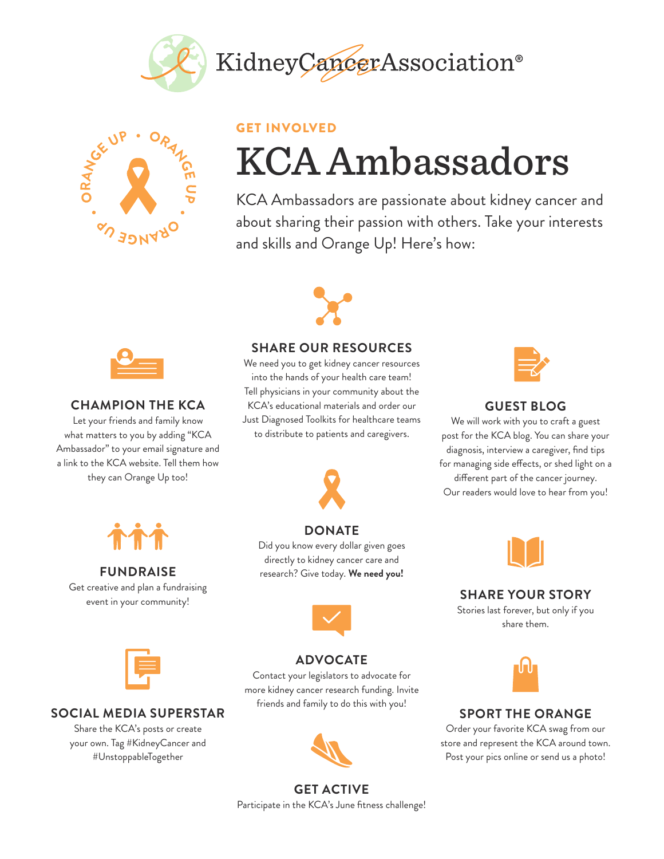



#### GET INVOLVED

# KCA Ambassadors

KCA Ambassadors are passionate about kidney cancer and about sharing their passion with others. Take your interests and skills and Orange Up! Here's how:



### **SHARE OUR RESOURCES**

We need you to get kidney cancer resources into the hands of your health care team! Tell physicians in your community about the KCA's educational materials and order our Just Diagnosed Toolkits for healthcare teams to distribute to patients and caregivers.

**DONATE** Did you know every dollar given goes directly to kidney cancer care and research? Give today. **We need you!** 



#### **GUEST BLOG**

We will work with you to craft a guest post for the KCA blog. You can share your diagnosis, interview a caregiver, find tips for managing side effects, or shed light on a different part of the cancer journey. Our readers would love to hear from you!



## **SHARE YOUR STORY**

Stories last forever, but only if you share them.



## **SPORT THE ORANGE**

Order your favorite KCA swag from our store and represent the KCA around town. Post your pics online or send us a photo!



### **CHAMPION THE KCA**

Let your friends and family know what matters to you by adding "KCA Ambassador" to your email signature and a link to the KCA website. Tell them how they can Orange Up too!



## **FUNDRAISE**

Get creative and plan a fundraising event in your community!



#### **SOCIAL MEDIA SUPERSTAR**

Share the KCA's posts or create your own. Tag #KidneyCancer and #UnstoppableTogether



**ADVOCATE** Contact your legislators to advocate for more kidney cancer research funding. Invite friends and family to do this with you!

## **GET ACTIVE**

Participate in the KCA's June fitness challenge!